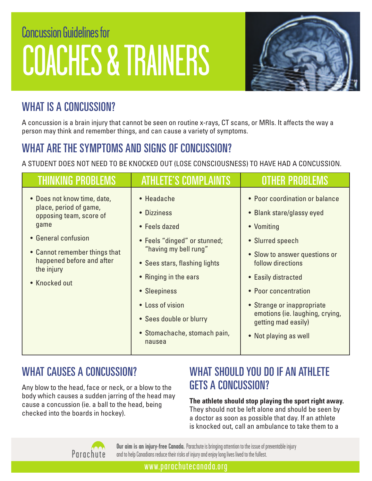# Concussion Guidelines for COACHES & TRAINERS



# WHAT IS A CONCUSSION?

A concussion is a brain injury that cannot be seen on routine x-rays, CT scans, or MRIs. It affects the way a person may think and remember things, and can cause a variety of symptoms.

# WHAT ARE THE SYMPTOMS AND SIGNS OF CONCUSSION?

A STUDENT DOES NOT NEED TO BE KNOCKED OUT (LOSE CONSCIOUSNESS) TO HAVE HAD A CONCUSSION.

| THINKING PROBLE                                                                                                                                                                                              | <b>ATHLETE'S COMPLAIN</b>                                                                                                                                                                                                                                              | OTHER PROB                                                                                                                                                                                                                                                                                                          |
|--------------------------------------------------------------------------------------------------------------------------------------------------------------------------------------------------------------|------------------------------------------------------------------------------------------------------------------------------------------------------------------------------------------------------------------------------------------------------------------------|---------------------------------------------------------------------------------------------------------------------------------------------------------------------------------------------------------------------------------------------------------------------------------------------------------------------|
| • Does not know time, date,<br>place, period of game,<br>opposing team, score of<br>game<br>• General confusion<br>• Cannot remember things that<br>happened before and after<br>the injury<br>• Knocked out | • Headache<br>• Dizziness<br>• Feels dazed<br>• Feels "dinged" or stunned;<br>"having my bell rung"<br>• Sees stars, flashing lights<br>• Ringing in the ears<br>• Sleepiness<br>• Loss of vision<br>• Sees double or blurry<br>• Stomachache, stomach pain,<br>nausea | • Poor coordination or balance<br>• Blank stare/glassy eyed<br>• Vomiting<br>• Slurred speech<br>• Slow to answer questions or<br>follow directions<br>• Easily distracted<br>• Poor concentration<br>• Strange or inappropriate<br>emotions (ie. laughing, crying,<br>getting mad easily)<br>• Not playing as well |

# WHAT CAUSES A CONCUSSION?

Any blow to the head, face or neck, or a blow to the body which causes a sudden jarring of the head may cause a concussion (ie. a ball to the head, being checked into the boards in hockey).

# WHAT SHOULD YOU DO IF AN ATHLETE GETS A CONCUSSION?

**The athlete should stop playing the sport right away.**  They should not be left alone and should be seen by a doctor as soon as possible that day. If an athlete is knocked out, call an ambulance to take them to a



**Our aim is an injury-free Canada.** Parachute is bringing attention to the issue of preventable injury and to help Canadians reduce their risks of injury and enjoy long lives lived to the fullest.